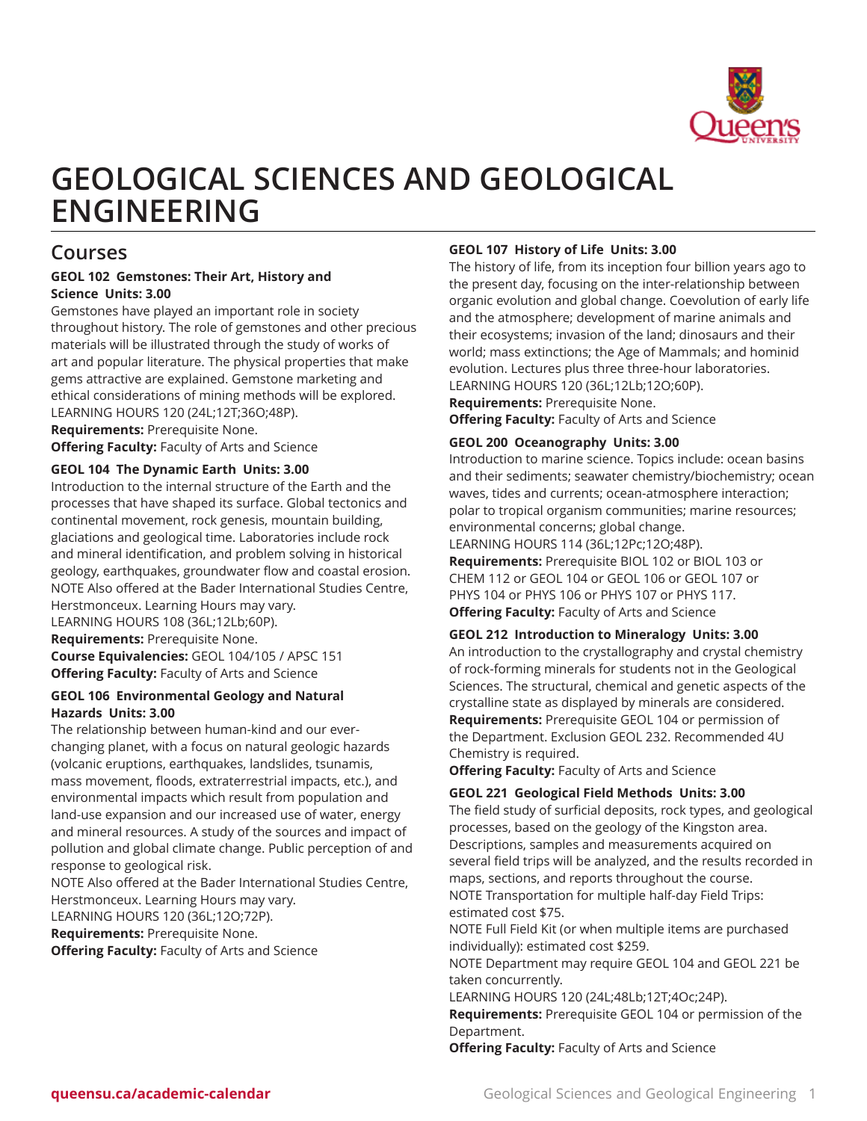

# **GEOLOGICAL SCIENCES AND GEOLOGICAL ENGINEERING**

# **Courses**

# **GEOL 102 Gemstones: Their Art, History and Science Units: 3.00**

Gemstones have played an important role in society throughout history. The role of gemstones and other precious materials will be illustrated through the study of works of art and popular literature. The physical properties that make gems attractive are explained. Gemstone marketing and ethical considerations of mining methods will be explored. LEARNING HOURS 120 (24L;12T;36O;48P).

**Requirements:** Prerequisite None. **Offering Faculty:** Faculty of Arts and Science

# **GEOL 104 The Dynamic Earth Units: 3.00**

Introduction to the internal structure of the Earth and the processes that have shaped its surface. Global tectonics and continental movement, rock genesis, mountain building, glaciations and geological time. Laboratories include rock and mineral identification, and problem solving in historical geology, earthquakes, groundwater flow and coastal erosion. NOTE Also offered at the Bader International Studies Centre, Herstmonceux. Learning Hours may vary. LEARNING HOURS 108 (36L;12Lb;60P). **Requirements:** Prerequisite None. **Course Equivalencies:** GEOL 104/105 / APSC 151 **Offering Faculty:** Faculty of Arts and Science

#### **GEOL 106 Environmental Geology and Natural Hazards Units: 3.00**

The relationship between human-kind and our everchanging planet, with a focus on natural geologic hazards (volcanic eruptions, earthquakes, landslides, tsunamis, mass movement, floods, extraterrestrial impacts, etc.), and environmental impacts which result from population and land-use expansion and our increased use of water, energy and mineral resources. A study of the sources and impact of pollution and global climate change. Public perception of and response to geological risk.

NOTE Also offered at the Bader International Studies Centre, Herstmonceux. Learning Hours may vary.

LEARNING HOURS 120 (36L;12O;72P).

**Requirements:** Prerequisite None.

**Offering Faculty:** Faculty of Arts and Science

# **GEOL 107 History of Life Units: 3.00**

The history of life, from its inception four billion years ago to the present day, focusing on the inter-relationship between organic evolution and global change. Coevolution of early life and the atmosphere; development of marine animals and their ecosystems; invasion of the land; dinosaurs and their world; mass extinctions; the Age of Mammals; and hominid evolution. Lectures plus three three-hour laboratories. LEARNING HOURS 120 (36L;12Lb;12O;60P).

**Requirements:** Prerequisite None.

**Offering Faculty:** Faculty of Arts and Science

# **GEOL 200 Oceanography Units: 3.00**

Introduction to marine science. Topics include: ocean basins and their sediments; seawater chemistry/biochemistry; ocean waves, tides and currents; ocean-atmosphere interaction; polar to tropical organism communities; marine resources; environmental concerns; global change. LEARNING HOURS 114 (36L;12Pc;12O;48P).

**Requirements:** Prerequisite BIOL 102 or BIOL 103 or CHEM 112 or GEOL 104 or GEOL 106 or GEOL 107 or PHYS 104 or PHYS 106 or PHYS 107 or PHYS 117. **Offering Faculty:** Faculty of Arts and Science

#### **GEOL 212 Introduction to Mineralogy Units: 3.00**

An introduction to the crystallography and crystal chemistry of rock-forming minerals for students not in the Geological Sciences. The structural, chemical and genetic aspects of the crystalline state as displayed by minerals are considered. **Requirements:** Prerequisite GEOL 104 or permission of the Department. Exclusion GEOL 232. Recommended 4U Chemistry is required.

**Offering Faculty:** Faculty of Arts and Science

#### **GEOL 221 Geological Field Methods Units: 3.00**

The field study of surficial deposits, rock types, and geological processes, based on the geology of the Kingston area. Descriptions, samples and measurements acquired on several field trips will be analyzed, and the results recorded in maps, sections, and reports throughout the course.

NOTE Transportation for multiple half-day Field Trips: estimated cost \$75.

NOTE Full Field Kit (or when multiple items are purchased individually): estimated cost \$259.

NOTE Department may require GEOL 104 and GEOL 221 be taken concurrently.

LEARNING HOURS 120 (24L;48Lb;12T;4Oc;24P).

**Requirements:** Prerequisite GEOL 104 or permission of the Department.

**Offering Faculty:** Faculty of Arts and Science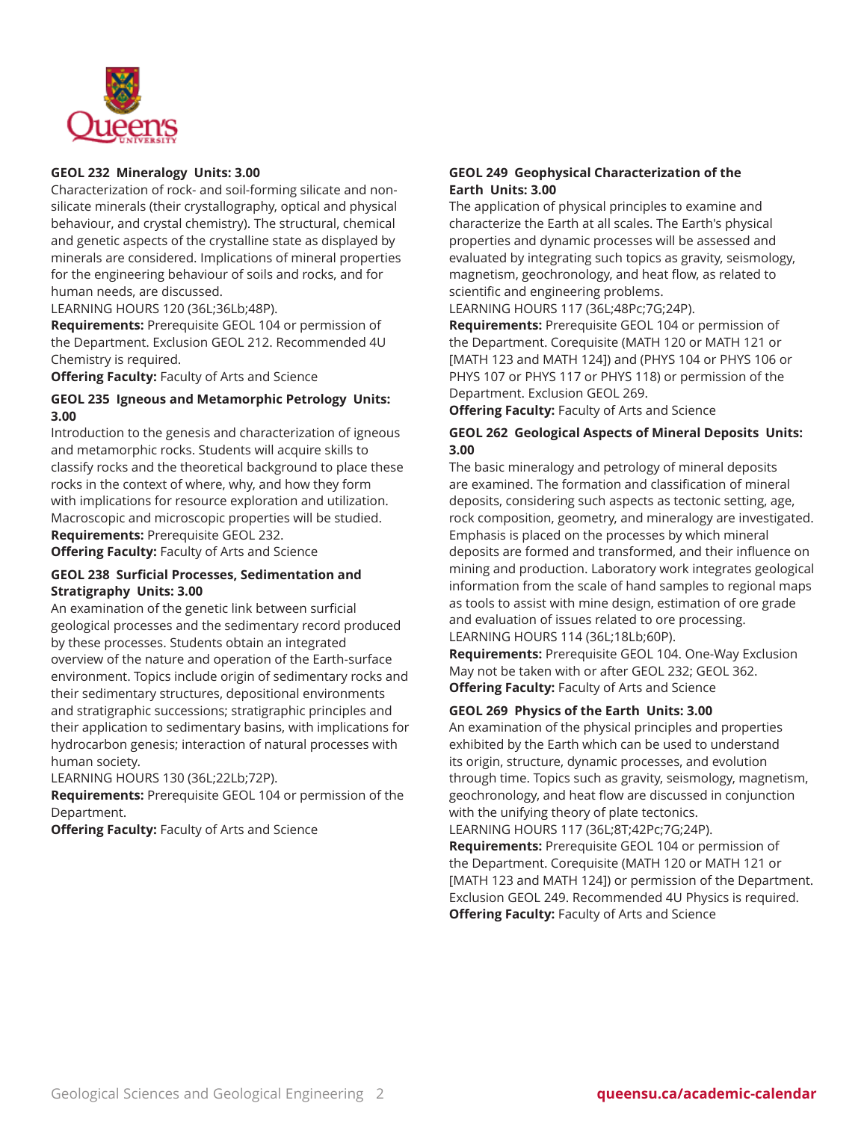

### **GEOL 232 Mineralogy Units: 3.00**

Characterization of rock- and soil-forming silicate and nonsilicate minerals (their crystallography, optical and physical behaviour, and crystal chemistry). The structural, chemical and genetic aspects of the crystalline state as displayed by minerals are considered. Implications of mineral properties for the engineering behaviour of soils and rocks, and for human needs, are discussed.

LEARNING HOURS 120 (36L;36Lb;48P).

**Requirements:** Prerequisite GEOL 104 or permission of the Department. Exclusion GEOL 212. Recommended 4U Chemistry is required.

**Offering Faculty:** Faculty of Arts and Science

# **GEOL 235 Igneous and Metamorphic Petrology Units: 3.00**

Introduction to the genesis and characterization of igneous and metamorphic rocks. Students will acquire skills to classify rocks and the theoretical background to place these rocks in the context of where, why, and how they form with implications for resource exploration and utilization. Macroscopic and microscopic properties will be studied. **Requirements:** Prerequisite GEOL 232.

**Offering Faculty:** Faculty of Arts and Science

### **GEOL 238 Surficial Processes, Sedimentation and Stratigraphy Units: 3.00**

An examination of the genetic link between surficial geological processes and the sedimentary record produced by these processes. Students obtain an integrated overview of the nature and operation of the Earth-surface environment. Topics include origin of sedimentary rocks and their sedimentary structures, depositional environments and stratigraphic successions; stratigraphic principles and their application to sedimentary basins, with implications for hydrocarbon genesis; interaction of natural processes with human society.

LEARNING HOURS 130 (36L;22Lb;72P).

**Requirements:** Prerequisite GEOL 104 or permission of the Department.

**Offering Faculty:** Faculty of Arts and Science

# **GEOL 249 Geophysical Characterization of the Earth Units: 3.00**

The application of physical principles to examine and characterize the Earth at all scales. The Earth's physical properties and dynamic processes will be assessed and evaluated by integrating such topics as gravity, seismology, magnetism, geochronology, and heat flow, as related to scientific and engineering problems.

LEARNING HOURS 117 (36L;48Pc;7G;24P).

**Requirements:** Prerequisite GEOL 104 or permission of the Department. Corequisite (MATH 120 or MATH 121 or [MATH 123 and MATH 124]) and (PHYS 104 or PHYS 106 or PHYS 107 or PHYS 117 or PHYS 118) or permission of the Department. Exclusion GEOL 269.

**Offering Faculty:** Faculty of Arts and Science

### **GEOL 262 Geological Aspects of Mineral Deposits Units: 3.00**

The basic mineralogy and petrology of mineral deposits are examined. The formation and classification of mineral deposits, considering such aspects as tectonic setting, age, rock composition, geometry, and mineralogy are investigated. Emphasis is placed on the processes by which mineral deposits are formed and transformed, and their influence on mining and production. Laboratory work integrates geological information from the scale of hand samples to regional maps as tools to assist with mine design, estimation of ore grade and evaluation of issues related to ore processing. LEARNING HOURS 114 (36L;18Lb;60P).

**Requirements:** Prerequisite GEOL 104. One-Way Exclusion May not be taken with or after GEOL 232; GEOL 362. **Offering Faculty:** Faculty of Arts and Science

#### **GEOL 269 Physics of the Earth Units: 3.00**

An examination of the physical principles and properties exhibited by the Earth which can be used to understand its origin, structure, dynamic processes, and evolution through time. Topics such as gravity, seismology, magnetism, geochronology, and heat flow are discussed in conjunction with the unifying theory of plate tectonics.

LEARNING HOURS 117 (36L;8T;42Pc;7G;24P). **Requirements:** Prerequisite GEOL 104 or permission of the Department. Corequisite (MATH 120 or MATH 121 or [MATH 123 and MATH 124]) or permission of the Department. Exclusion GEOL 249. Recommended 4U Physics is required. **Offering Faculty:** Faculty of Arts and Science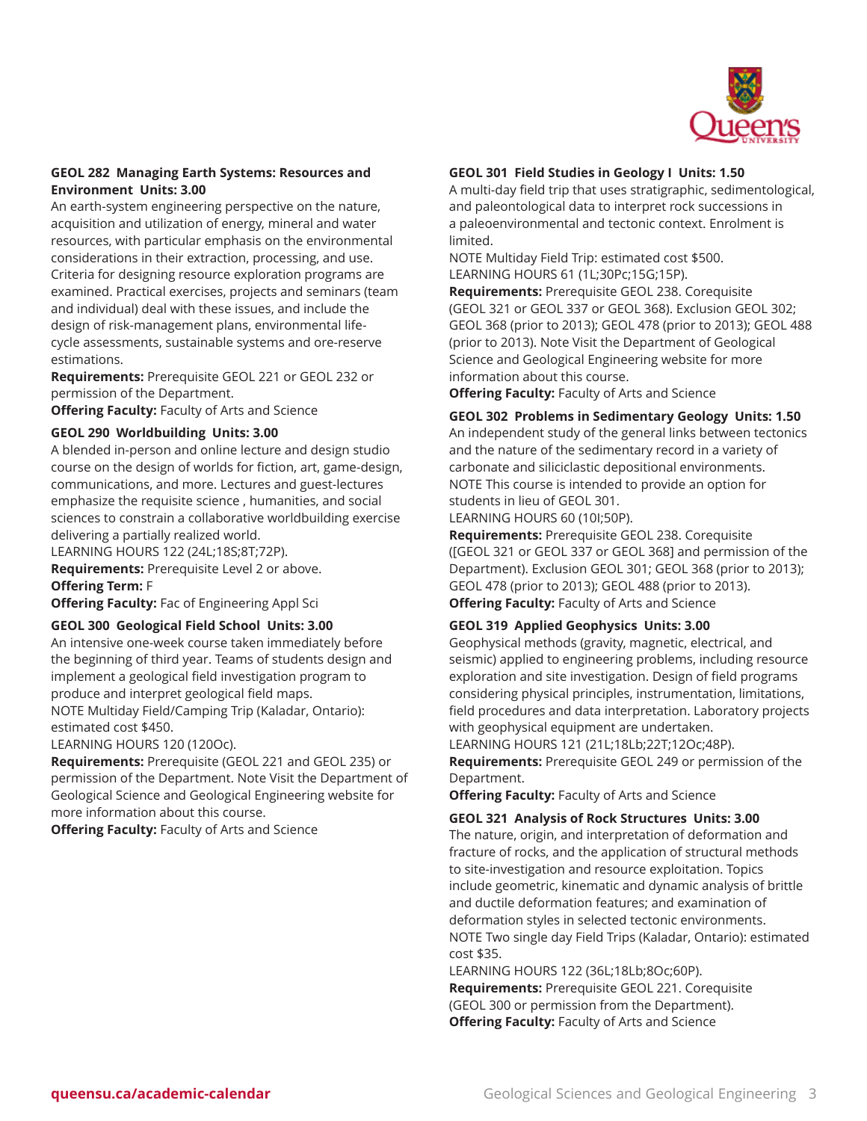

#### **GEOL 282 Managing Earth Systems: Resources and Environment Units: 3.00**

An earth-system engineering perspective on the nature, acquisition and utilization of energy, mineral and water resources, with particular emphasis on the environmental considerations in their extraction, processing, and use. Criteria for designing resource exploration programs are examined. Practical exercises, projects and seminars (team and individual) deal with these issues, and include the design of risk-management plans, environmental lifecycle assessments, sustainable systems and ore-reserve estimations.

**Requirements:** Prerequisite GEOL 221 or GEOL 232 or permission of the Department.

**Offering Faculty:** Faculty of Arts and Science

#### **GEOL 290 Worldbuilding Units: 3.00**

A blended in-person and online lecture and design studio course on the design of worlds for fiction, art, game-design, communications, and more. Lectures and guest-lectures emphasize the requisite science , humanities, and social sciences to constrain a collaborative worldbuilding exercise delivering a partially realized world.

LEARNING HOURS 122 (24L;18S;8T;72P). **Requirements:** Prerequisite Level 2 or above.

**Offering Term:** F

**Offering Faculty:** Fac of Engineering Appl Sci

#### **GEOL 300 Geological Field School Units: 3.00**

An intensive one-week course taken immediately before the beginning of third year. Teams of students design and implement a geological field investigation program to produce and interpret geological field maps. NOTE Multiday Field/Camping Trip (Kaladar, Ontario): estimated cost \$450.

LEARNING HOURS 120 (120Oc).

**Requirements:** Prerequisite (GEOL 221 and GEOL 235) or permission of the Department. Note Visit the Department of Geological Science and Geological Engineering website for more information about this course.

**Offering Faculty:** Faculty of Arts and Science

#### **GEOL 301 Field Studies in Geology I Units: 1.50**

A multi-day field trip that uses stratigraphic, sedimentological, and paleontological data to interpret rock successions in a paleoenvironmental and tectonic context. Enrolment is limited.

NOTE Multiday Field Trip: estimated cost \$500. LEARNING HOURS 61 (1L;30Pc;15G;15P).

**Requirements:** Prerequisite GEOL 238. Corequisite (GEOL 321 or GEOL 337 or GEOL 368). Exclusion GEOL 302; GEOL 368 (prior to 2013); GEOL 478 (prior to 2013); GEOL 488 (prior to 2013). Note Visit the Department of Geological Science and Geological Engineering website for more information about this course.

**Offering Faculty:** Faculty of Arts and Science

**GEOL 302 Problems in Sedimentary Geology Units: 1.50** An independent study of the general links between tectonics and the nature of the sedimentary record in a variety of carbonate and siliciclastic depositional environments. NOTE This course is intended to provide an option for students in lieu of GEOL 301.

LEARNING HOURS 60 (10I;50P).

**Requirements:** Prerequisite GEOL 238. Corequisite ([GEOL 321 or GEOL 337 or GEOL 368] and permission of the Department). Exclusion GEOL 301; GEOL 368 (prior to 2013); GEOL 478 (prior to 2013); GEOL 488 (prior to 2013). **Offering Faculty:** Faculty of Arts and Science

#### **GEOL 319 Applied Geophysics Units: 3.00**

Geophysical methods (gravity, magnetic, electrical, and seismic) applied to engineering problems, including resource exploration and site investigation. Design of field programs considering physical principles, instrumentation, limitations, field procedures and data interpretation. Laboratory projects with geophysical equipment are undertaken.

LEARNING HOURS 121 (21L;18Lb;22T;12Oc;48P). **Requirements:** Prerequisite GEOL 249 or permission of the Department.

**Offering Faculty:** Faculty of Arts and Science

#### **GEOL 321 Analysis of Rock Structures Units: 3.00**

The nature, origin, and interpretation of deformation and fracture of rocks, and the application of structural methods to site-investigation and resource exploitation. Topics include geometric, kinematic and dynamic analysis of brittle and ductile deformation features; and examination of deformation styles in selected tectonic environments. NOTE Two single day Field Trips (Kaladar, Ontario): estimated cost \$35.

LEARNING HOURS 122 (36L;18Lb;8Oc;60P). **Requirements:** Prerequisite GEOL 221. Corequisite (GEOL 300 or permission from the Department). **Offering Faculty:** Faculty of Arts and Science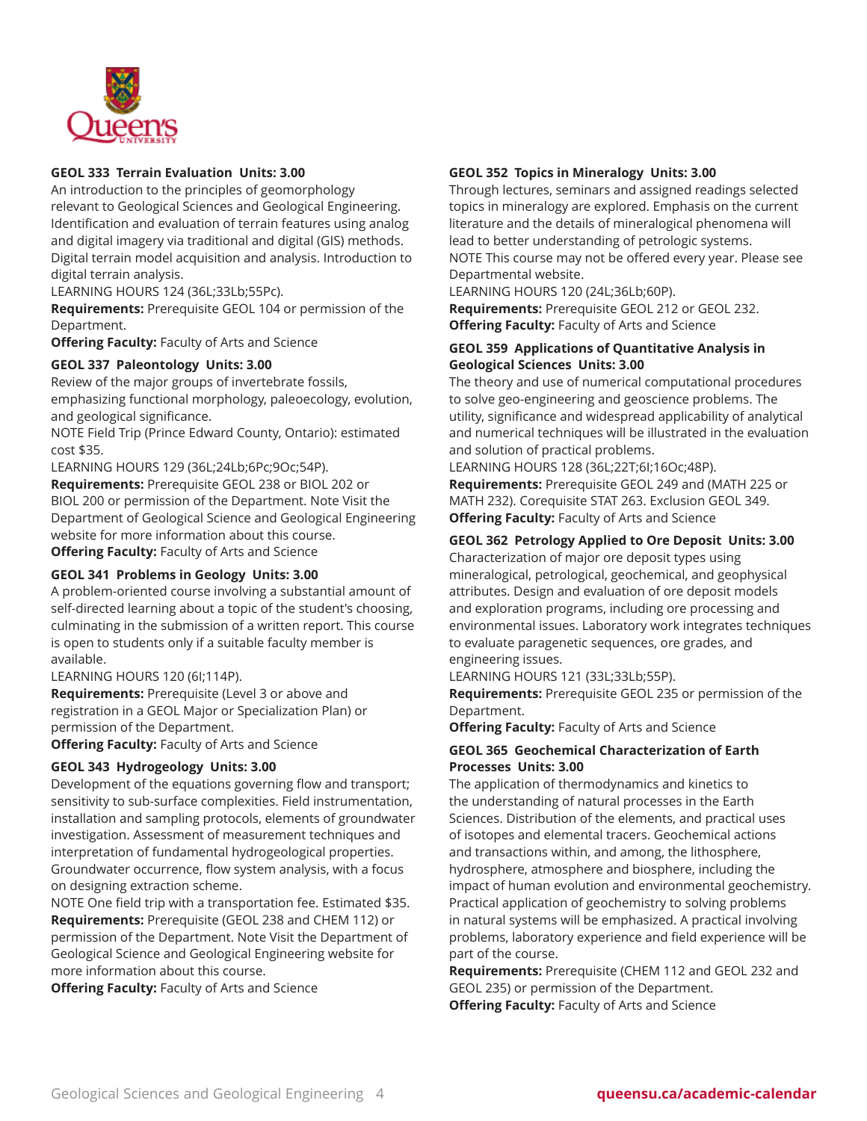

### **GEOL 333 Terrain Evaluation Units: 3.00**

An introduction to the principles of geomorphology relevant to Geological Sciences and Geological Engineering. Identification and evaluation of terrain features using analog and digital imagery via traditional and digital (GIS) methods. Digital terrain model acquisition and analysis. Introduction to digital terrain analysis.

LEARNING HOURS 124 (36L;33Lb;55Pc).

**Requirements:** Prerequisite GEOL 104 or permission of the Department.

**Offering Faculty:** Faculty of Arts and Science

#### **GEOL 337 Paleontology Units: 3.00**

Review of the major groups of invertebrate fossils, emphasizing functional morphology, paleoecology, evolution, and geological significance.

NOTE Field Trip (Prince Edward County, Ontario): estimated cost \$35.

LEARNING HOURS 129 (36L;24Lb;6Pc;9Oc;54P). **Requirements:** Prerequisite GEOL 238 or BIOL 202 or BIOL 200 or permission of the Department. Note Visit the Department of Geological Science and Geological Engineering website for more information about this course. **Offering Faculty:** Faculty of Arts and Science

#### **GEOL 341 Problems in Geology Units: 3.00**

A problem-oriented course involving a substantial amount of self-directed learning about a topic of the student's choosing, culminating in the submission of a written report. This course is open to students only if a suitable faculty member is available.

LEARNING HOURS 120 (6I;114P).

**Requirements:** Prerequisite (Level 3 or above and registration in a GEOL Major or Specialization Plan) or permission of the Department.

**Offering Faculty:** Faculty of Arts and Science

#### **GEOL 343 Hydrogeology Units: 3.00**

Development of the equations governing flow and transport; sensitivity to sub-surface complexities. Field instrumentation, installation and sampling protocols, elements of groundwater investigation. Assessment of measurement techniques and interpretation of fundamental hydrogeological properties. Groundwater occurrence, flow system analysis, with a focus on designing extraction scheme.

NOTE One field trip with a transportation fee. Estimated \$35. **Requirements:** Prerequisite (GEOL 238 and CHEM 112) or permission of the Department. Note Visit the Department of Geological Science and Geological Engineering website for more information about this course.

**Offering Faculty:** Faculty of Arts and Science

### **GEOL 352 Topics in Mineralogy Units: 3.00**

Through lectures, seminars and assigned readings selected topics in mineralogy are explored. Emphasis on the current literature and the details of mineralogical phenomena will lead to better understanding of petrologic systems. NOTE This course may not be offered every year. Please see Departmental website.

LEARNING HOURS 120 (24L;36Lb;60P). **Requirements:** Prerequisite GEOL 212 or GEOL 232.

**Offering Faculty:** Faculty of Arts and Science

# **GEOL 359 Applications of Quantitative Analysis in Geological Sciences Units: 3.00**

The theory and use of numerical computational procedures to solve geo-engineering and geoscience problems. The utility, significance and widespread applicability of analytical and numerical techniques will be illustrated in the evaluation and solution of practical problems.

LEARNING HOURS 128 (36L;22T;6I;16Oc;48P). **Requirements:** Prerequisite GEOL 249 and (MATH 225 or MATH 232). Corequisite STAT 263. Exclusion GEOL 349. **Offering Faculty:** Faculty of Arts and Science

#### **GEOL 362 Petrology Applied to Ore Deposit Units: 3.00**

Characterization of major ore deposit types using mineralogical, petrological, geochemical, and geophysical attributes. Design and evaluation of ore deposit models and exploration programs, including ore processing and environmental issues. Laboratory work integrates techniques to evaluate paragenetic sequences, ore grades, and engineering issues.

LEARNING HOURS 121 (33L;33Lb;55P).

**Requirements:** Prerequisite GEOL 235 or permission of the Department.

**Offering Faculty:** Faculty of Arts and Science

#### **GEOL 365 Geochemical Characterization of Earth Processes Units: 3.00**

The application of thermodynamics and kinetics to the understanding of natural processes in the Earth Sciences. Distribution of the elements, and practical uses of isotopes and elemental tracers. Geochemical actions and transactions within, and among, the lithosphere, hydrosphere, atmosphere and biosphere, including the impact of human evolution and environmental geochemistry. Practical application of geochemistry to solving problems in natural systems will be emphasized. A practical involving problems, laboratory experience and field experience will be part of the course.

**Requirements:** Prerequisite (CHEM 112 and GEOL 232 and GEOL 235) or permission of the Department. **Offering Faculty:** Faculty of Arts and Science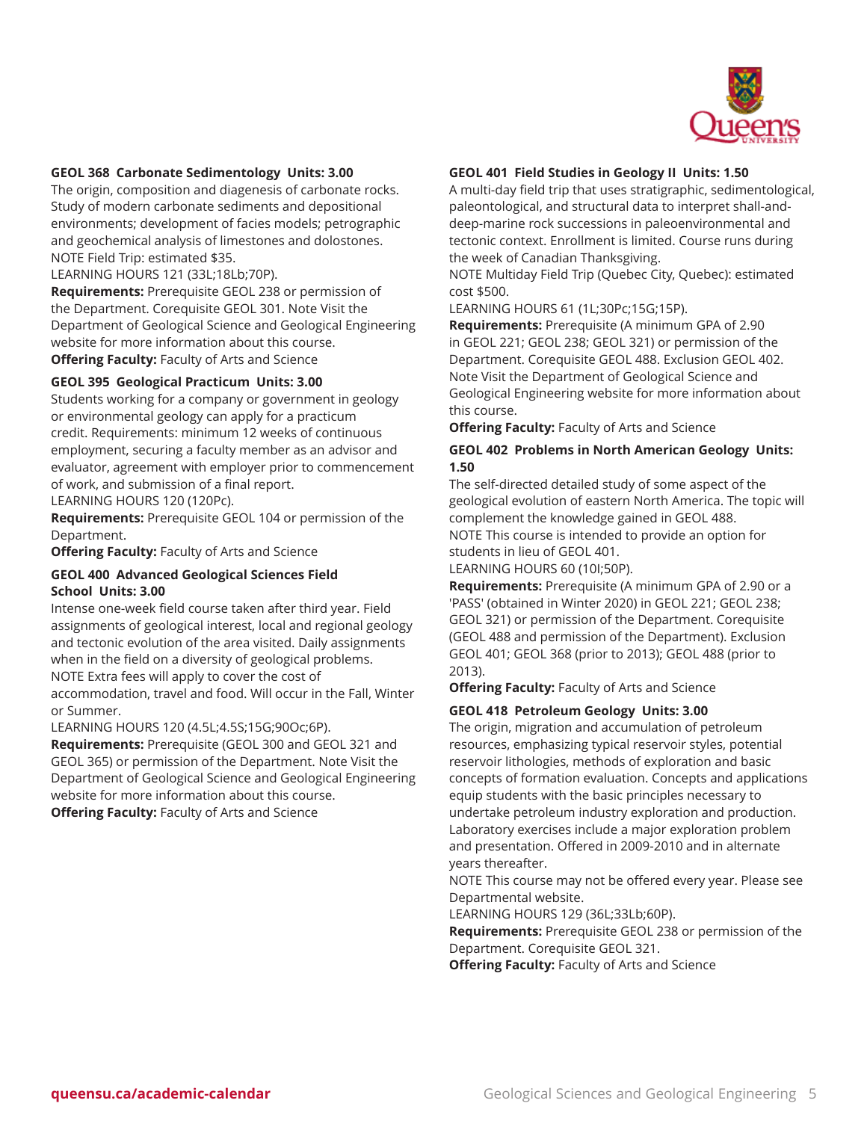

#### **GEOL 368 Carbonate Sedimentology Units: 3.00**

The origin, composition and diagenesis of carbonate rocks. Study of modern carbonate sediments and depositional environments; development of facies models; petrographic and geochemical analysis of limestones and dolostones. NOTE Field Trip: estimated \$35.

LEARNING HOURS 121 (33L;18Lb;70P).

**Requirements:** Prerequisite GEOL 238 or permission of the Department. Corequisite GEOL 301. Note Visit the Department of Geological Science and Geological Engineering website for more information about this course. **Offering Faculty:** Faculty of Arts and Science

# **GEOL 395 Geological Practicum Units: 3.00**

Students working for a company or government in geology or environmental geology can apply for a practicum credit. Requirements: minimum 12 weeks of continuous employment, securing a faculty member as an advisor and evaluator, agreement with employer prior to commencement of work, and submission of a final report. LEARNING HOURS 120 (120Pc).

**Requirements:** Prerequisite GEOL 104 or permission of the Department.

**Offering Faculty:** Faculty of Arts and Science

#### **GEOL 400 Advanced Geological Sciences Field School Units: 3.00**

Intense one-week field course taken after third year. Field assignments of geological interest, local and regional geology and tectonic evolution of the area visited. Daily assignments when in the field on a diversity of geological problems. NOTE Extra fees will apply to cover the cost of

accommodation, travel and food. Will occur in the Fall, Winter or Summer.

LEARNING HOURS 120 (4.5L;4.5S;15G;90Oc;6P).

**Requirements:** Prerequisite (GEOL 300 and GEOL 321 and GEOL 365) or permission of the Department. Note Visit the Department of Geological Science and Geological Engineering website for more information about this course.

**Offering Faculty:** Faculty of Arts and Science

#### **GEOL 401 Field Studies in Geology II Units: 1.50**

A multi-day field trip that uses stratigraphic, sedimentological, paleontological, and structural data to interpret shall-anddeep-marine rock successions in paleoenvironmental and tectonic context. Enrollment is limited. Course runs during the week of Canadian Thanksgiving.

NOTE Multiday Field Trip (Quebec City, Quebec): estimated cost \$500.

LEARNING HOURS 61 (1L;30Pc;15G;15P).

**Requirements:** Prerequisite (A minimum GPA of 2.90 in GEOL 221; GEOL 238; GEOL 321) or permission of the Department. Corequisite GEOL 488. Exclusion GEOL 402. Note Visit the Department of Geological Science and Geological Engineering website for more information about this course.

**Offering Faculty:** Faculty of Arts and Science

#### **GEOL 402 Problems in North American Geology Units: 1.50**

The self-directed detailed study of some aspect of the geological evolution of eastern North America. The topic will complement the knowledge gained in GEOL 488. NOTE This course is intended to provide an option for students in lieu of GEOL 401.

LEARNING HOURS 60 (10I;50P).

**Requirements:** Prerequisite (A minimum GPA of 2.90 or a 'PASS' (obtained in Winter 2020) in GEOL 221; GEOL 238; GEOL 321) or permission of the Department. Corequisite (GEOL 488 and permission of the Department). Exclusion GEOL 401; GEOL 368 (prior to 2013); GEOL 488 (prior to 2013).

**Offering Faculty:** Faculty of Arts and Science

#### **GEOL 418 Petroleum Geology Units: 3.00**

The origin, migration and accumulation of petroleum resources, emphasizing typical reservoir styles, potential reservoir lithologies, methods of exploration and basic concepts of formation evaluation. Concepts and applications equip students with the basic principles necessary to undertake petroleum industry exploration and production. Laboratory exercises include a major exploration problem and presentation. Offered in 2009-2010 and in alternate years thereafter.

NOTE This course may not be offered every year. Please see Departmental website.

LEARNING HOURS 129 (36L;33Lb;60P).

**Requirements:** Prerequisite GEOL 238 or permission of the Department. Corequisite GEOL 321.

**Offering Faculty:** Faculty of Arts and Science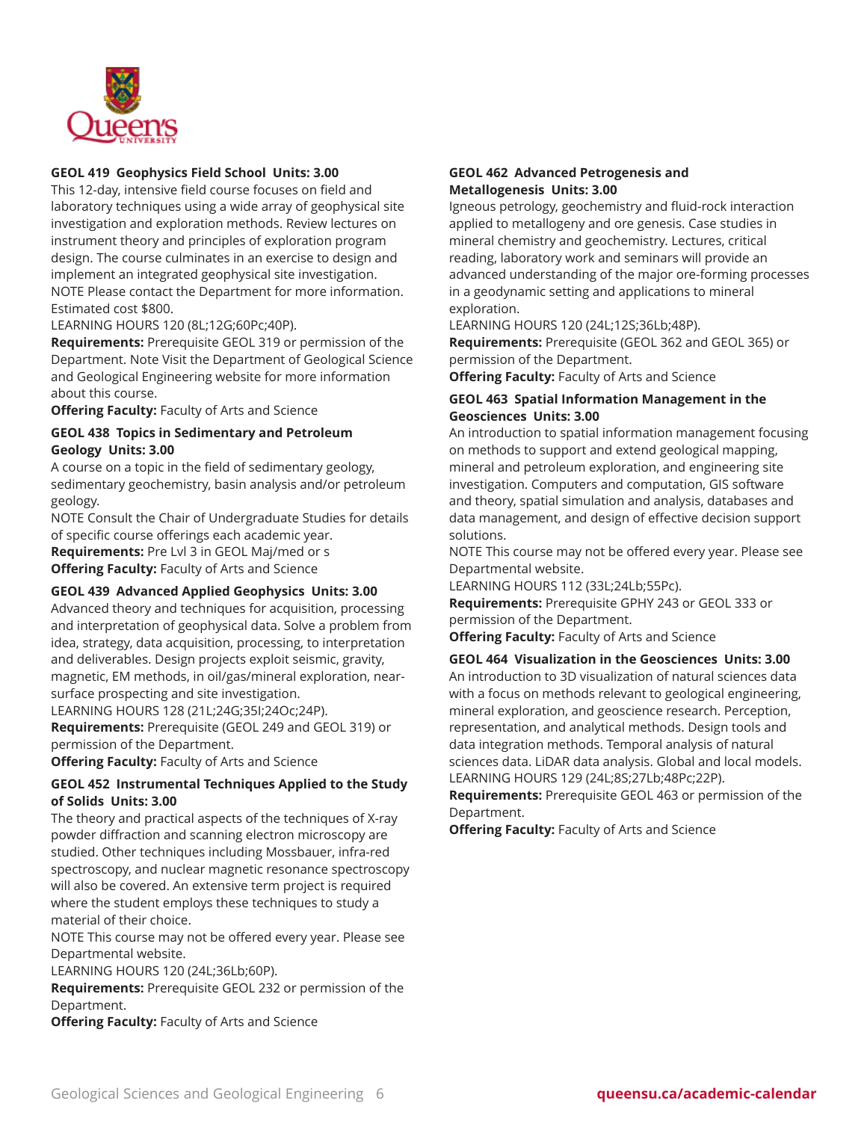

### **GEOL 419 Geophysics Field School Units: 3.00**

This 12-day, intensive field course focuses on field and laboratory techniques using a wide array of geophysical site investigation and exploration methods. Review lectures on instrument theory and principles of exploration program design. The course culminates in an exercise to design and implement an integrated geophysical site investigation. NOTE Please contact the Department for more information. Estimated cost \$800.

LEARNING HOURS 120 (8L;12G;60Pc;40P).

**Requirements:** Prerequisite GEOL 319 or permission of the Department. Note Visit the Department of Geological Science and Geological Engineering website for more information about this course.

**Offering Faculty:** Faculty of Arts and Science

#### **GEOL 438 Topics in Sedimentary and Petroleum Geology Units: 3.00**

A course on a topic in the field of sedimentary geology, sedimentary geochemistry, basin analysis and/or petroleum geology.

NOTE Consult the Chair of Undergraduate Studies for details of specific course offerings each academic year.

**Requirements:** Pre Lvl 3 in GEOL Maj/med or s **Offering Faculty:** Faculty of Arts and Science

#### **GEOL 439 Advanced Applied Geophysics Units: 3.00**

Advanced theory and techniques for acquisition, processing and interpretation of geophysical data. Solve a problem from idea, strategy, data acquisition, processing, to interpretation and deliverables. Design projects exploit seismic, gravity, magnetic, EM methods, in oil/gas/mineral exploration, nearsurface prospecting and site investigation.

LEARNING HOURS 128 (21L;24G;35I;24Oc;24P).

**Requirements:** Prerequisite (GEOL 249 and GEOL 319) or permission of the Department.

**Offering Faculty:** Faculty of Arts and Science

# **GEOL 452 Instrumental Techniques Applied to the Study of Solids Units: 3.00**

The theory and practical aspects of the techniques of X-ray powder diffraction and scanning electron microscopy are studied. Other techniques including Mossbauer, infra-red spectroscopy, and nuclear magnetic resonance spectroscopy will also be covered. An extensive term project is required where the student employs these techniques to study a material of their choice.

NOTE This course may not be offered every year. Please see Departmental website.

LEARNING HOURS 120 (24L;36Lb;60P).

**Requirements:** Prerequisite GEOL 232 or permission of the Department.

**Offering Faculty:** Faculty of Arts and Science

### **GEOL 462 Advanced Petrogenesis and Metallogenesis Units: 3.00**

Igneous petrology, geochemistry and fluid-rock interaction applied to metallogeny and ore genesis. Case studies in mineral chemistry and geochemistry. Lectures, critical reading, laboratory work and seminars will provide an advanced understanding of the major ore-forming processes in a geodynamic setting and applications to mineral exploration.

LEARNING HOURS 120 (24L;12S;36Lb;48P). **Requirements:** Prerequisite (GEOL 362 and GEOL 365) or permission of the Department.

**Offering Faculty:** Faculty of Arts and Science

# **GEOL 463 Spatial Information Management in the Geosciences Units: 3.00**

An introduction to spatial information management focusing on methods to support and extend geological mapping, mineral and petroleum exploration, and engineering site investigation. Computers and computation, GIS software and theory, spatial simulation and analysis, databases and data management, and design of effective decision support solutions.

NOTE This course may not be offered every year. Please see Departmental website.

LEARNING HOURS 112 (33L;24Lb;55Pc).

**Requirements:** Prerequisite GPHY 243 or GEOL 333 or permission of the Department.

**Offering Faculty:** Faculty of Arts and Science

#### **GEOL 464 Visualization in the Geosciences Units: 3.00**

An introduction to 3D visualization of natural sciences data with a focus on methods relevant to geological engineering, mineral exploration, and geoscience research. Perception, representation, and analytical methods. Design tools and data integration methods. Temporal analysis of natural sciences data. LiDAR data analysis. Global and local models. LEARNING HOURS 129 (24L;8S;27Lb;48Pc;22P).

**Requirements:** Prerequisite GEOL 463 or permission of the Department.

**Offering Faculty:** Faculty of Arts and Science